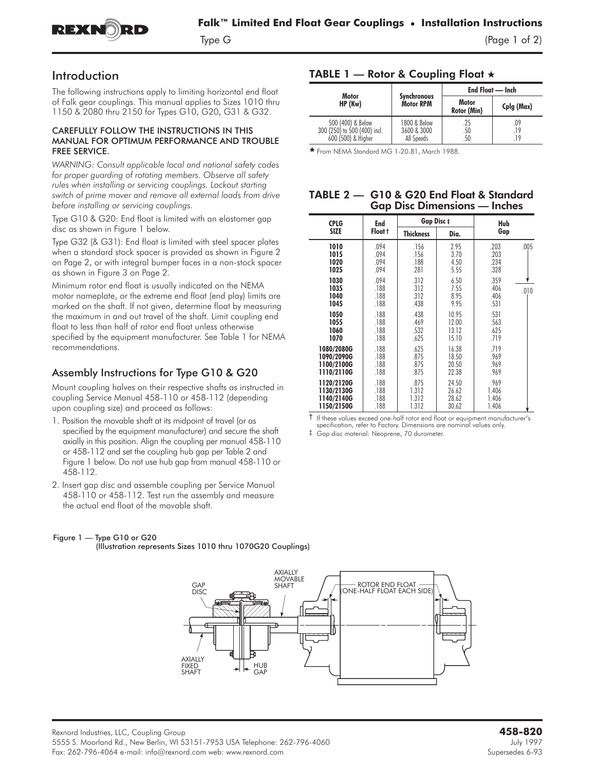

# Introduction

The following instructions apply to limiting horizontal end float of Falk gear couplings. This manual applies to Sizes 1010 thru 1150 & 2080 thru 2150 for Types G10, G20, G31 & G32.

## CAREFULLY FOLLOW THE INSTRUCTIONS IN THIS MANUAL FOR OPTIMUM PERFORMANCE AND TROUBLE FREE SERVICE.

*WARNING: Consult applicable local and national safety codes for proper guarding of rotating members. Observe all safety rules when installing or servicing couplings. Lockout starting switch of prime mover and remove all external loads from drive before installing or servicing couplings.*

**Type G10 & G20:** End float is limited with an elastomer gap disc as shown in Figure 1 below.

**Type G32 (& G31):** End float is limited with steel spacer plates when a standard stock spacer is provided as shown in Figure 2 on Page 2, or with integral bumper faces in a non-stock spacer as shown in Figure 3 on Page 2.

Minimum rotor end float is usually indicated on the NEMA motor nameplate, or the extreme end float (end play) limits are marked on the shaft. If not given, determine float by measuring the maximum in and out travel of the shaft. Limit coupling end float to less than half of rotor end float unless otherwise specified by the equipment manufacturer. See Table 1 for NEMA recommendations.

## Assembly Instructions for Type G10 & G20

Mount coupling halves on their respective shafts as instructed in coupling Service Manual 458-110 or 458-112 (depending upon coupling size) and proceed as follows:

- 1. Position the movable shaft at its midpoint of travel (or as specified by the equipment manufacturer) and secure the shaft axially in this position. Align the coupling per manual 458-110 or 458-112 and set the coupling hub gap per Table 2 and Figure 1 below. Do not use hub gap from manual 458-110 or 458-112.
- 2. Insert gap disc and assemble coupling per Service Manual 458-110 or 458-112. Test run the assembly and measure the actual end float of the movable shaft.

## Figure 1 — Type G10 or G20

(Illustration represents Sizes 1010 thru 1070G20 Couplings)

### **AXIALLY<br>MOVABLE** ROTOR END FLOAT GAP SHAFT ONE-HALF FLOAT EACH SIDE SHAFT DISC DISC  $\sum_{i=1}^{n}$ **AXIAIIY FIXED** HUB<br>GAP SHAFT

# TABLE 1 — Rotor & Coupling Float  $\star$

|                              |                    | End Float — Inch |            |  |
|------------------------------|--------------------|------------------|------------|--|
| Motor                        | <b>Synchronous</b> | Motor            | Cplg (Max) |  |
| HP (Kw)                      | <b>Motor RPM</b>   | Rotor (Min)      |            |  |
| 500 (400) & Below            | 1800 & Below       | .25              | .09        |  |
| 300 (250) to 500 (400) incl. | 3600 & 3000        | .50              | .19        |  |
| 600 (500) & Higher           | All Speeds         | .50              | 19         |  |

- From NEMA Standard MG 1-20.81, March 1988.

## TABLE 2 — G10 & G20 End Float & Standard Gap Disc Dimensions — Inches

| <b>CPLG</b>                                          | <b>End</b><br>Float t        | <b>Gap Disc ‡</b>               |                                  | Hub                                  |  |
|------------------------------------------------------|------------------------------|---------------------------------|----------------------------------|--------------------------------------|--|
| <b>SIZE</b>                                          |                              | <b>Thickness</b>                | Dia.                             | Gap                                  |  |
| 1010<br>1015<br>1020<br>1025                         | .094<br>.094<br>.094<br>.094 | .156<br>.156<br>.188<br>.281    | 2.95<br>3.70<br>4.50<br>5.55     | .203<br>.005<br>.203<br>.234<br>.328 |  |
| 1030<br>1035<br>1040<br>1045                         | .094<br>.188<br>.188<br>.188 | .312<br>.312<br>.312<br>.438    | 6.50<br>7.55<br>8.95<br>9.95     | .359<br>.406<br>.010<br>.406<br>.531 |  |
| 1050<br>1055<br>1060<br>1070                         | .188<br>.188<br>.188<br>.188 | .438<br>.469<br>.532<br>.625    | 10.95<br>12.00<br>13.12<br>15.10 | .531<br>.563<br>.625<br>.719         |  |
| 1080/2080G<br>1090/2090G<br>1100/2100G<br>1110/2110G | .188<br>.188<br>.188<br>.188 | .625<br>.875<br>.875<br>.875    | 16.38<br>18.50<br>20.50<br>22.38 | .719<br>.969<br>.969<br>.969         |  |
| 1120/2120G<br>1130/2130G<br>1140/2140G<br>1150/2150G | .188<br>.188<br>.188<br>.188 | .875<br>1.312<br>1.312<br>1.312 | 24.50<br>26.62<br>28.62<br>30.62 | .969<br>1.406<br>1.406<br>1.406      |  |

† If these values exceed one-half rotor end float or equipment manufacturer's

specification, refer to Factory. Dimensions are nominal values only. ‡ Gap disc material: Neoprene, 70 durometer.